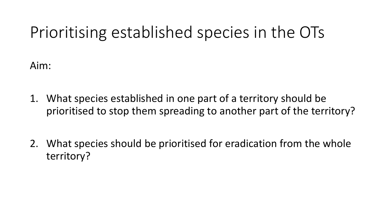# Prioritising established species in the OTs

Aim:

- 1. What species established in one part of a territory should be prioritised to stop them spreading to another part of the territory?
- 2. What species should be prioritised for eradication from the whole territory?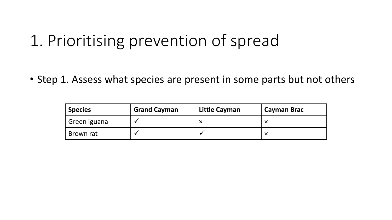• Step 1. Assess what species are present in some parts but not others

| ' Species      | <b>Grand Cayman</b> | <b>Little Cayman</b> | <b>Cayman Brac</b> |
|----------------|---------------------|----------------------|--------------------|
| I Green iguana |                     |                      |                    |
| Brown rat      |                     |                      |                    |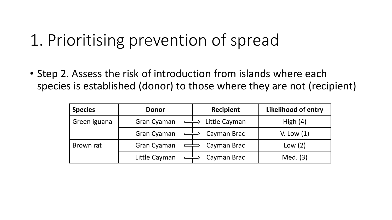• Step 2. Assess the risk of introduction from islands where each species is established (donor) to those where they are not (recipient)

| <b>Species</b> | <b>Donor</b>                                   | <b>Recipient</b> | <b>Likelihood of entry</b> |
|----------------|------------------------------------------------|------------------|----------------------------|
| Green iguana   | <b>Gran Cyaman</b><br>$\overline{\phantom{a}}$ | Little Cayman    | High $(4)$                 |
|                | <b>Gran Cyaman</b>                             | Cayman Brac      | V. Low $(1)$               |
| Brown rat      | Gran Cyaman                                    | Cayman Brac      | Low $(2)$                  |
|                | Little Cayman                                  | Cayman Brac      | Med. (3)                   |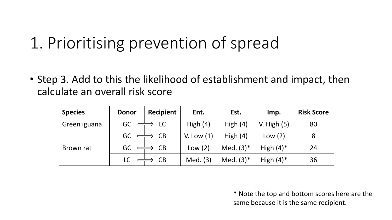• Step 3. Add to this the likelihood of establishment and impact, then calculate an overall risk score

| <b>Species</b> | <b>Donor</b> | <b>Recipient</b> | Ent.         | Est.         | Imp.          | <b>Risk Score</b> |
|----------------|--------------|------------------|--------------|--------------|---------------|-------------------|
| Green iguana   | GC           | LC               | High $(4)$   | High $(4)$   | V. High $(5)$ | 80                |
|                | GC           | CB               | V. Low $(1)$ | High $(4)$   | Low(2)        | 8                 |
| Brown rat      | GC           | CB               | Low(2)       | Med. $(3)^*$ | High $(4)^*$  | 24                |
|                | LC.          | CB               | Med. (3)     | Med. $(3)^*$ | High $(4)^*$  | 36                |

\* Note the top and bottom scores here are the same because it is the same recipient.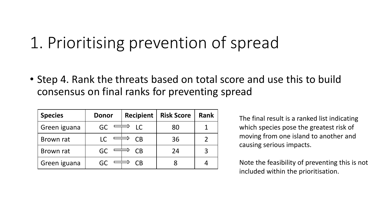• Step 4. Rank the threats based on total score and use this to build consensus on final ranks for preventing spread

| <b>Species</b> | <b>Donor</b> | <b>Recipient</b> | <b>Risk Score</b> | <b>Rank</b> |
|----------------|--------------|------------------|-------------------|-------------|
| Green iguana   | GC.          | <b>LC</b>        | 80                |             |
| Brown rat      |              | СB               | 36                |             |
| Brown rat      | GC.          | СB               | 24                |             |
| Green iguana   |              | ิาB              |                   |             |

The final result is a ranked list indicating which species pose the greatest risk of moving from one island to another and causing serious impacts.

Note the feasibility of preventing this is not included within the prioritisation.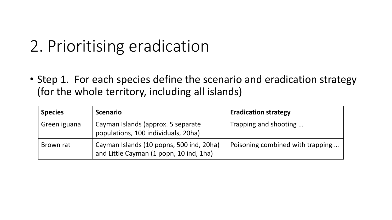# 2. Prioritising eradication

• Step 1. For each species define the scenario and eradication strategy (for the whole territory, including all islands)

| <b>Species</b> | <b>Scenario</b>                                                                     | <b>Eradication strategy</b>      |
|----------------|-------------------------------------------------------------------------------------|----------------------------------|
| Green iguana   | Cayman Islands (approx. 5 separate<br>populations, 100 individuals, 20ha)           | Trapping and shooting            |
| Brown rat      | Cayman Islands (10 popns, 500 ind, 20ha)<br>and Little Cayman (1 popn, 10 ind, 1ha) | Poisoning combined with trapping |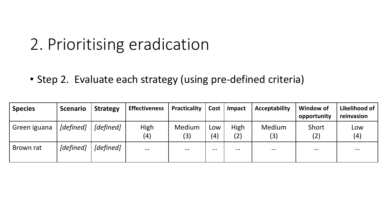#### 2. Prioritising eradication

• Step 2. Evaluate each strategy (using pre-defined criteria)

| <b>Species</b> | <b>Scenario</b> | <b>Strategy</b> | <b>Effectiveness</b> | Practicality  | Cost       | <b>Impact</b> | <b>Acceptability</b> | <b>Window of</b><br>opportunity | Likelihood of<br>reinvasion |
|----------------|-----------------|-----------------|----------------------|---------------|------------|---------------|----------------------|---------------------------------|-----------------------------|
| Green iguana   | [defined]       | [defined]       | High<br>(4)          | Medium<br>(3) | Low<br>(4) | High<br>(2)   | Medium<br>(3)        | Short<br>(2)                    | Low<br>(4)                  |
| Brown rat      | [defined]       | [defined]       | $\cdots$             | $\cdots$      | $\cdots$   | $\cdots$      | $\cdots$             | $\bullet\bullet\bullet$         | $\cdots$                    |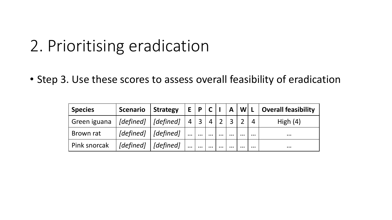### 2. Prioritising eradication

• Step 3. Use these scores to assess overall feasibility of eradication

| <b>Species</b> | <b>Scenario</b>                                                  | Strategy                                                         |                | E   P   C   I |                |          | $\mathsf{A}$   |          |          | $ W $ L $ $ Overall feasibility |
|----------------|------------------------------------------------------------------|------------------------------------------------------------------|----------------|---------------|----------------|----------|----------------|----------|----------|---------------------------------|
| Green iguana   | $\vert$ [defined] $\vert$ [defined]                              |                                                                  | $\overline{4}$ |               | $\overline{4}$ |          | $\overline{3}$ |          |          | High $(4)$                      |
| Brown rat      |                                                                  | $\lceil \text{defined} \rceil \mid \lceil \text{defined} \rceil$ | $\cdots$       | $\cdots$      | $\cdots$       | $\cdots$ | $\cdots$       | $\cdots$ | $\cdots$ | $\bullet\bullet\bullet$         |
| Pink snorcak   | $\lceil \text{defined} \rceil \mid \lceil \text{defined} \rceil$ |                                                                  | $\cdots$       | $\cdots$      | $\cdots$       | $\cdots$ | $\cdots$       | $\cdots$ | $\cdots$ | $\bullet\bullet\bullet$         |